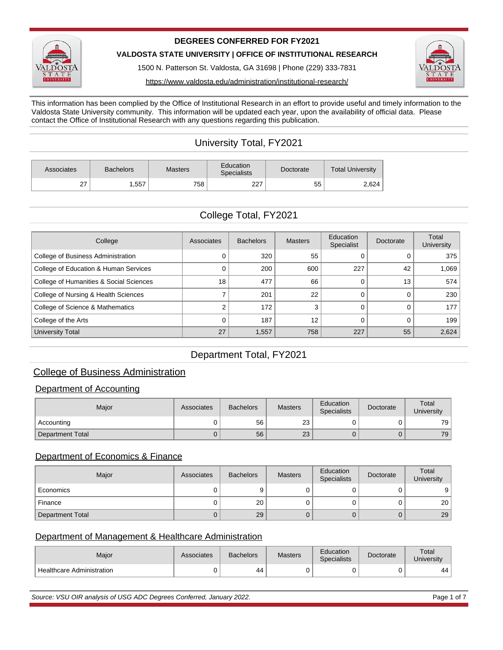

#### **DEGREES CONFERRED FOR FY2021**

**VALDOSTA STATE UNIVERSITY | OFFICE OF INSTITUTIONAL RESEARCH**

1500 N. Patterson St. Valdosta, GA 31698 | Phone (229) 333-7831



https://www.valdosta.edu/administration/institutional-research/

This information has been complied by the Office of Institutional Research in an effort to provide useful and timely information to the Valdosta State University community. This information will be updated each year, upon the availability of official data. Please contact the Office of Institutional Research with any questions regarding this publication.

# University Total, FY2021

| Associates     | <b>Bachelors</b> | <b>Masters</b> | Education<br><b>Specialists</b> | Doctorate | <b>Total University</b> |  |
|----------------|------------------|----------------|---------------------------------|-----------|-------------------------|--|
| ~-<br><u>_</u> | .557             | 758            | 227<br>221                      | 55        | 2,624                   |  |

# College Total, FY2021

| College                                 | Associates | <b>Bachelors</b> | <b>Masters</b> | Education<br>Specialist | Doctorate | Total<br><b>University</b> |
|-----------------------------------------|------------|------------------|----------------|-------------------------|-----------|----------------------------|
| College of Business Administration      |            | 320              | 55             |                         |           | 375                        |
| College of Education & Human Services   |            | 200              | 600            | 227                     | 42        | 1.069                      |
| College of Humanities & Social Sciences | 18         | 477              | 66             |                         | 13        | 574                        |
| College of Nursing & Health Sciences    |            | 201              | 22             |                         |           | 230                        |
| College of Science & Mathematics        |            | 172              |                |                         |           | 177                        |
| College of the Arts                     |            | 187              | 12             |                         |           | 199                        |
| University Total                        | 27         | 1,557            | 758            | 227                     | 55        | 2,624                      |

## Department Total, FY2021

## College of Business Administration

#### Department of Accounting

| Maior                   | Associates | <b>Bachelors</b> | <b>Masters</b> | Education<br><b>Specialists</b> | Doctorate | Total<br>University |
|-------------------------|------------|------------------|----------------|---------------------------------|-----------|---------------------|
| Accounting              |            | 56               | 23             |                                 |           | 79                  |
| <b>Department Total</b> |            | 56               | 23             |                                 |           | 79                  |

#### Department of Economics & Finance

| Major            | Associates | <b>Bachelors</b> | <b>Masters</b> | Education<br><b>Specialists</b> | Doctorate | Total<br>University |
|------------------|------------|------------------|----------------|---------------------------------|-----------|---------------------|
| Economics        |            |                  |                |                                 |           |                     |
| Finance          | U          | 20               |                |                                 |           | 20                  |
| Department Total | U          | 29               |                |                                 |           | 29                  |

#### Department of Management & Healthcare Administration

| Maior                                  | Associates | <b>Bachelors</b> | <b>Masters</b> | Education<br><b>Specialists</b> | Doctorate | Total<br>University |
|----------------------------------------|------------|------------------|----------------|---------------------------------|-----------|---------------------|
| <sup>1</sup> Healthcare Administration |            | 44               |                |                                 |           | 44                  |

Source: VSU OIR analysis of USG ADC Degrees Conferred, January 2022. Page 1 of 7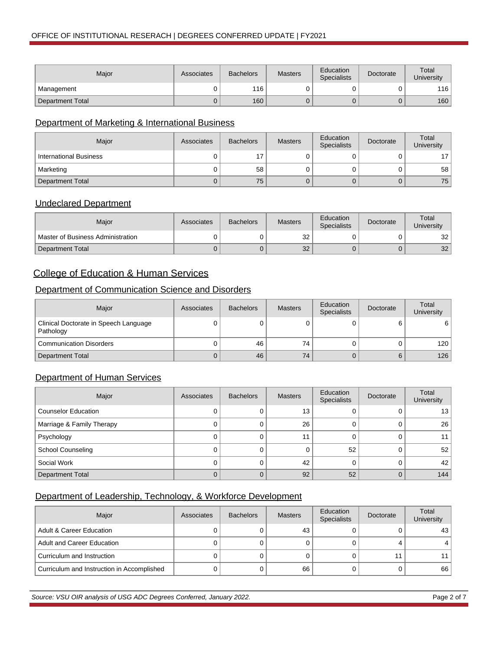| Major            | Associates | <b>Bachelors</b> | <b>Masters</b> | <b>Education</b><br><b>Specialists</b> | Doctorate | Total<br>University |
|------------------|------------|------------------|----------------|----------------------------------------|-----------|---------------------|
| Management       |            | 116              |                |                                        |           | 116 I               |
| Department Total |            | 160              |                |                                        |           | 160                 |

### Department of Marketing & International Business

| Major                         | Associates | <b>Bachelors</b> | <b>Masters</b> | Education<br><b>Specialists</b> | Doctorate | Total<br><b>University</b> |
|-------------------------------|------------|------------------|----------------|---------------------------------|-----------|----------------------------|
| <b>International Business</b> |            | 17               |                |                                 |           |                            |
| Marketing                     |            | 58               |                |                                 |           | 58                         |
| <b>Department Total</b>       |            | 75               |                |                                 |           | 75                         |

#### Undeclared Department

| Maior                             | Associates | <b>Bachelors</b> | <b>Masters</b> | Education<br><b>Specialists</b> | Doctorate | Total<br>University |
|-----------------------------------|------------|------------------|----------------|---------------------------------|-----------|---------------------|
| Master of Business Administration |            |                  | 32             |                                 |           | 32                  |
| Department Total                  |            |                  | 32             |                                 |           | 32                  |

## College of Education & Human Services

## Department of Communication Science and Disorders

| Major                                              | Associates | <b>Bachelors</b> | <b>Masters</b> | Education<br><b>Specialists</b> | Doctorate | Total<br><b>University</b> |
|----------------------------------------------------|------------|------------------|----------------|---------------------------------|-----------|----------------------------|
| Clinical Doctorate in Speech Language<br>Pathology | 0          | υ                |                |                                 |           | 6                          |
| <b>Communication Disorders</b>                     | U          | 46               | 74             |                                 |           | 120                        |
| Department Total                                   | U          | 46               | 74             |                                 | 6         | 126                        |

#### Department of Human Services

| Major                      | Associates | <b>Bachelors</b> | <b>Masters</b> | Education<br><b>Specialists</b> | Doctorate | Total<br>University |
|----------------------------|------------|------------------|----------------|---------------------------------|-----------|---------------------|
| <b>Counselor Education</b> |            |                  | 13             |                                 |           | 13                  |
| Marriage & Family Therapy  |            |                  | 26             |                                 |           | 26                  |
| Psychology                 |            |                  | 11             |                                 |           |                     |
| <b>School Counseling</b>   |            |                  |                | 52                              |           | 52                  |
| Social Work                |            |                  | 42             |                                 |           | 42                  |
| <b>Department Total</b>    |            |                  | 92             | 52                              |           | 144                 |

### Department of Leadership, Technology, & Workforce Development

| Major                                      | Associates | <b>Bachelors</b> | <b>Masters</b> | Education<br><b>Specialists</b> | Doctorate | Total<br>University |
|--------------------------------------------|------------|------------------|----------------|---------------------------------|-----------|---------------------|
| <b>Adult &amp; Career Education</b>        |            |                  | 43             |                                 |           | 43                  |
| Adult and Career Education                 |            |                  |                |                                 |           |                     |
| Curriculum and Instruction                 |            |                  |                |                                 |           |                     |
| Curriculum and Instruction in Accomplished |            |                  | 66             |                                 |           | 66                  |

Source: VSU OIR analysis of USG ADC Degrees Conferred, January 2022. Page 2 of 7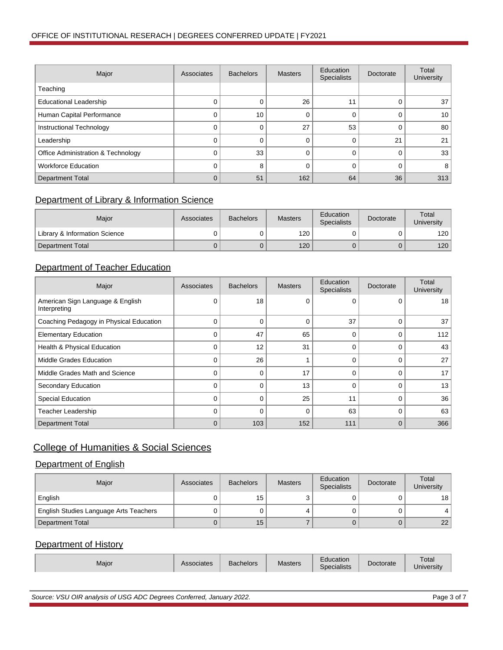| Major                              | Associates | <b>Bachelors</b> | <b>Masters</b> | Education<br><b>Specialists</b> | Doctorate | Total<br><b>University</b> |
|------------------------------------|------------|------------------|----------------|---------------------------------|-----------|----------------------------|
| Teaching                           |            |                  |                |                                 |           |                            |
| <b>Educational Leadership</b>      |            | 0                | 26             | 11                              |           | 37                         |
| Human Capital Performance          |            | 10               |                |                                 |           | 10                         |
| Instructional Technology           |            |                  | 27             | 53                              |           | 80                         |
| Leadership                         |            |                  |                |                                 | 21        | 21                         |
| Office Administration & Technology |            | 33               |                |                                 |           | 33                         |
| <b>Workforce Education</b>         |            | 8                |                |                                 |           | 8                          |
| <b>Department Total</b>            |            | 51               | 162            | 64                              | 36        | 313                        |

### Department of Library & Information Science

| Maior                         | Associates | <b>Bachelors</b> | <b>Masters</b> | Education<br><b>Specialists</b> | Doctorate | Total<br>University |
|-------------------------------|------------|------------------|----------------|---------------------------------|-----------|---------------------|
| Library & Information Science | 0          |                  | 120            |                                 |           | 120                 |
| Department Total              | 0          | U                | 120            |                                 |           | 120                 |

## Department of Teacher Education

| Major                                            | Associates  | <b>Bachelors</b> | <b>Masters</b> | Education<br><b>Specialists</b> | Doctorate | Total<br>University |
|--------------------------------------------------|-------------|------------------|----------------|---------------------------------|-----------|---------------------|
| American Sign Language & English<br>Interpreting | 0           | 18               | $\Omega$       | ი                               | $\Omega$  | 18                  |
| Coaching Pedagogy in Physical Education          | $\Omega$    | 0                | 0              | 37                              | 0         | 37                  |
| <b>Elementary Education</b>                      | $\Omega$    | 47               | 65             | 0                               | 0         | 112                 |
| Health & Physical Education                      | $\Omega$    | 12               | 31             |                                 | 0         | 43                  |
| Middle Grades Education                          | $\Omega$    | 26               |                |                                 |           | 27                  |
| Middle Grades Math and Science                   | $\Omega$    | 0                | 17             |                                 |           | 17                  |
| Secondary Education                              | $\Omega$    | 0                | 13             |                                 |           | 13                  |
| <b>Special Education</b>                         | $\Omega$    | $\Omega$         | 25             | 11                              | $\Omega$  | 36                  |
| <b>Teacher Leadership</b>                        | $\Omega$    | $\Omega$         | $\Omega$       | 63                              | $\Omega$  | 63                  |
| <b>Department Total</b>                          | $\mathbf 0$ | 103              | 152            | 111                             | $\Omega$  | 366                 |

## College of Humanities & Social Sciences

### Department of English

| Major                                  | Associates | <b>Bachelors</b> | <b>Masters</b> | Education<br><b>Specialists</b> | Doctorate | Total<br><b>University</b> |
|----------------------------------------|------------|------------------|----------------|---------------------------------|-----------|----------------------------|
| English                                |            | 15               |                |                                 |           | 18                         |
| English Studies Language Arts Teachers |            |                  |                |                                 |           |                            |
| Department Total                       |            | 15               |                |                                 |           | 22                         |

### Department of History

| Гоtal<br>≘ducation<br>Aasters<br>chelors<br>ociates<br>┘⌒<br>Major<br>≎torate<br>$\sim$<br>$\cdots$<br>cialists<br>Jniversity |
|-------------------------------------------------------------------------------------------------------------------------------|
|-------------------------------------------------------------------------------------------------------------------------------|

Source: VSU OIR analysis of USG ADC Degrees Conferred, January 2022. Page 3 of 7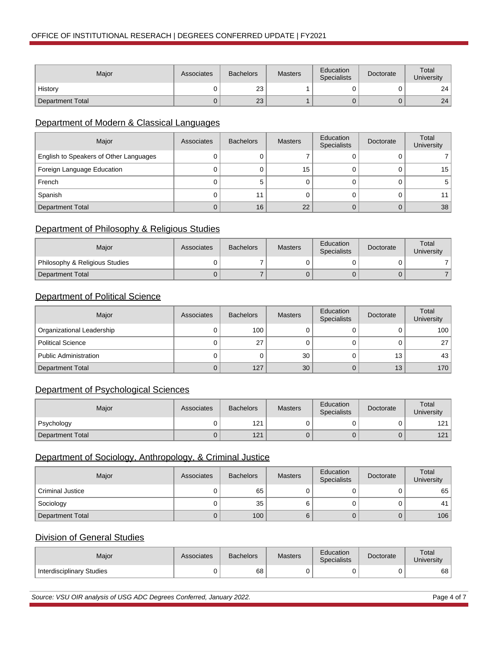| Major            | Associates | <b>Bachelors</b> | <b>Masters</b> | Education<br><b>Specialists</b> | Doctorate | Total<br>University |
|------------------|------------|------------------|----------------|---------------------------------|-----------|---------------------|
| History          |            | 23               |                |                                 |           | 24                  |
| Department Total |            | 23               |                |                                 |           | 24                  |

### Department of Modern & Classical Languages

| Major                                  | Associates | <b>Bachelors</b> | <b>Masters</b> | Education<br><b>Specialists</b> | Doctorate | Total<br>University |
|----------------------------------------|------------|------------------|----------------|---------------------------------|-----------|---------------------|
| English to Speakers of Other Languages |            |                  |                |                                 |           |                     |
| Foreign Language Education             |            |                  | 15             |                                 |           | 15                  |
| French                                 |            | 5                |                |                                 |           |                     |
| Spanish                                |            | 11               |                |                                 |           |                     |
| <b>Department Total</b>                |            | 16               | 22             |                                 |           | 38                  |

### Department of Philosophy & Religious Studies

| Maior                          | Associates | <b>Bachelors</b> | <b>Masters</b> | Education<br><b>Specialists</b> | Doctorate | Total<br>University |
|--------------------------------|------------|------------------|----------------|---------------------------------|-----------|---------------------|
| Philosophy & Religious Studies |            |                  |                |                                 |           |                     |
| Department Total               |            |                  |                |                                 |           |                     |

### **Department of Political Science**

| Major                        | Associates | <b>Bachelors</b> | <b>Masters</b> | Education<br><b>Specialists</b> | Doctorate | Total<br>University |
|------------------------------|------------|------------------|----------------|---------------------------------|-----------|---------------------|
| Organizational Leadership    |            | 100              |                |                                 |           | 100                 |
| <b>Political Science</b>     |            | 27               |                |                                 |           | 27                  |
| <b>Public Administration</b> |            | υ                | 30             |                                 | 13        | 43                  |
| Department Total             |            | 127              | 30             |                                 | 13        | 170                 |

## Department of Psychological Sciences

| Major            | Associates | <b>Bachelors</b> | <b>Masters</b> | Education<br><b>Specialists</b> | Doctorate | Total<br>University |
|------------------|------------|------------------|----------------|---------------------------------|-----------|---------------------|
| Psychology       |            | 121              |                |                                 |           | 121                 |
| Department Total |            | 121              |                |                                 |           | 121                 |

### Department of Sociology, Anthropology, & Criminal Justice

| Major            | Associates | <b>Bachelors</b> | <b>Masters</b> | Education<br><b>Specialists</b> | Doctorate | Total<br>University |
|------------------|------------|------------------|----------------|---------------------------------|-----------|---------------------|
| Criminal Justice |            | 65               |                |                                 |           | 65                  |
| Sociology        |            | 35               |                |                                 |           |                     |
| Department Total | U          | 100 <sub>1</sub> |                |                                 |           | 106                 |

### Division of General Studies

| Major                     | Associates | <b>Bachelors</b> | <b>Masters</b> | Education<br><b>Specialists</b> | Doctorate | Total<br>University |
|---------------------------|------------|------------------|----------------|---------------------------------|-----------|---------------------|
| Interdisciplinary Studies |            | 68               |                |                                 |           | 68                  |

Source: VSU OIR analysis of USG ADC Degrees Conferred, January 2022. Page 4 of 7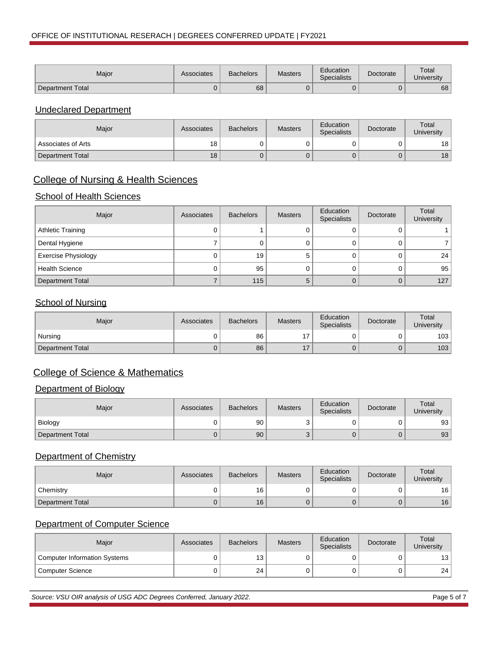| Major                   | Associates | <b>Bachelors</b> | Masters | Education<br><b>Specialists</b> | Doctorate | Total<br>University |
|-------------------------|------------|------------------|---------|---------------------------------|-----------|---------------------|
| <b>Department Total</b> |            | 68               |         |                                 |           | 68                  |

#### Undeclared Department

| Maior                           | Associates | <b>Bachelors</b> | <b>Masters</b> | Education<br><b>Specialists</b> | Doctorate | Total<br>University |
|---------------------------------|------------|------------------|----------------|---------------------------------|-----------|---------------------|
| <sup>1</sup> Associates of Arts | 18         |                  |                |                                 |           | 18                  |
| Department Total                | 18         |                  |                |                                 |           | 18                  |

### College of Nursing & Health Sciences

#### **School of Health Sciences**

| Major                      | Associates | <b>Bachelors</b> | <b>Masters</b> | Education<br><b>Specialists</b> | Doctorate | Total<br>University |
|----------------------------|------------|------------------|----------------|---------------------------------|-----------|---------------------|
| <b>Athletic Training</b>   |            |                  |                |                                 |           |                     |
| Dental Hygiene             |            |                  |                |                                 |           |                     |
| <b>Exercise Physiology</b> |            | 19               |                |                                 |           | 24                  |
| <b>Health Science</b>      |            | 95               |                |                                 |           | 95                  |
| <b>Department Total</b>    |            | 115              |                |                                 |           | 127                 |

### **School of Nursing**

| Major            | Associates | <b>Bachelors</b> | <b>Masters</b> | Education<br><b>Specialists</b> | Doctorate | Total<br>University |
|------------------|------------|------------------|----------------|---------------------------------|-----------|---------------------|
| Nursing          |            | 86               |                |                                 |           | 103                 |
| Department Total |            | 86               |                |                                 |           | 103                 |

## College of Science & Mathematics

#### Department of Biology

| Major            | Associates | <b>Bachelors</b> | <b>Masters</b> | Education<br><b>Specialists</b> | Doctorate | Total<br>University |
|------------------|------------|------------------|----------------|---------------------------------|-----------|---------------------|
| <b>Biology</b>   |            | 90               |                |                                 |           | 93                  |
| Department Total |            | 90               |                |                                 |           | 93                  |

### Department of Chemistry

| Major            | Associates | <b>Bachelors</b> | <b>Masters</b> | Education<br><b>Specialists</b> | Doctorate | Total<br>University |
|------------------|------------|------------------|----------------|---------------------------------|-----------|---------------------|
| Chemistry        |            | 16               |                |                                 |           | 16                  |
| Department Total | U          | 16               |                |                                 |           | 16                  |

### Department of Computer Science

| Maior                        | Associates | <b>Bachelors</b> | <b>Masters</b> | Education<br><b>Specialists</b> | Doctorate | Total<br>University |
|------------------------------|------------|------------------|----------------|---------------------------------|-----------|---------------------|
| Computer Information Systems |            | 13               |                |                                 |           | 13                  |
| Computer Science             |            | 24               |                |                                 |           | 24 <sub>1</sub>     |

Source: VSU OIR analysis of USG ADC Degrees Conferred, January 2022. Page 5 of 7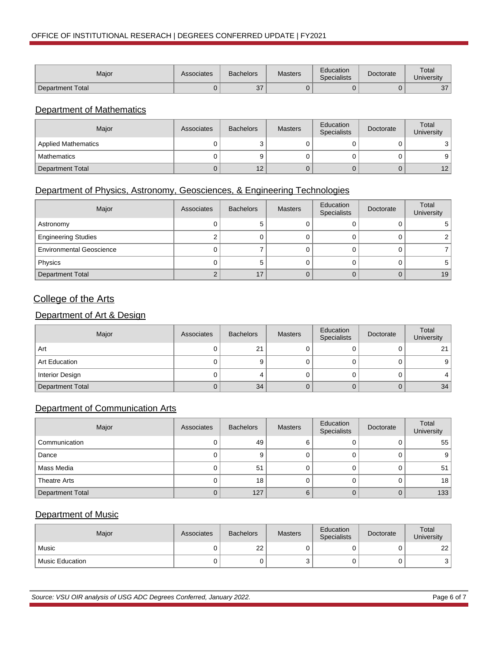| Major            | Associates | <b>Bachelors</b> | Masters | Education<br><b>Specialists</b> | Doctorate | Total<br><b>University</b> |
|------------------|------------|------------------|---------|---------------------------------|-----------|----------------------------|
| Department Total |            | 37               |         |                                 |           | 27<br>، ب                  |

### Department of Mathematics

| Major                      | Associates | <b>Bachelors</b> | <b>Masters</b> | Education<br><b>Specialists</b> | Doctorate | Total<br>University |
|----------------------------|------------|------------------|----------------|---------------------------------|-----------|---------------------|
| <b>Applied Mathematics</b> |            |                  |                |                                 |           |                     |
| Mathematics                |            |                  |                |                                 |           |                     |
| Department Total           |            | 12               |                |                                 |           | 12                  |

### Department of Physics, Astronomy, Geosciences, & Engineering Technologies

| Major                           | Associates | <b>Bachelors</b> | <b>Masters</b> | Education<br>Specialists | Doctorate | Total<br>University |
|---------------------------------|------------|------------------|----------------|--------------------------|-----------|---------------------|
| Astronomy                       |            | э                |                |                          |           |                     |
| <b>Engineering Studies</b>      |            |                  |                |                          |           |                     |
| <b>Environmental Geoscience</b> |            |                  |                |                          |           |                     |
| Physics                         |            | э                |                |                          |           |                     |
| <b>Department Total</b>         |            | 17               |                |                          |           | 19                  |

## College of the Arts

### Department of Art & Design

| Major                   | Associates | <b>Bachelors</b> | <b>Masters</b> | Education<br>Specialists | Doctorate | Total<br>University |
|-------------------------|------------|------------------|----------------|--------------------------|-----------|---------------------|
| Art                     |            | 21               |                |                          |           | $^{\circ}$          |
| Art Education           |            |                  |                |                          |           |                     |
| <b>Interior Design</b>  |            |                  |                |                          |           |                     |
| <b>Department Total</b> |            | 34               |                |                          |           | 34                  |

### Department of Communication Arts

| Major                   | Associates | <b>Bachelors</b> | <b>Masters</b> | Education<br>Specialists | Doctorate | Total<br>University |
|-------------------------|------------|------------------|----------------|--------------------------|-----------|---------------------|
| Communication           | O          | 49               |                |                          |           | 55                  |
| Dance                   | 0          | 9                |                |                          |           | 9                   |
| Mass Media              |            | 51               |                |                          |           | 51                  |
| Theatre Arts            |            | 18               |                |                          |           | 18                  |
| <b>Department Total</b> |            | 127              |                |                          |           | 133                 |

#### Department of Music

| Major             | Associates | <b>Bachelors</b> | <b>Masters</b> | Education<br><b>Specialists</b> | Doctorate | Total<br>University |
|-------------------|------------|------------------|----------------|---------------------------------|-----------|---------------------|
| Music             |            | 22               |                |                                 |           | 22                  |
| l Music Education |            |                  |                |                                 |           |                     |